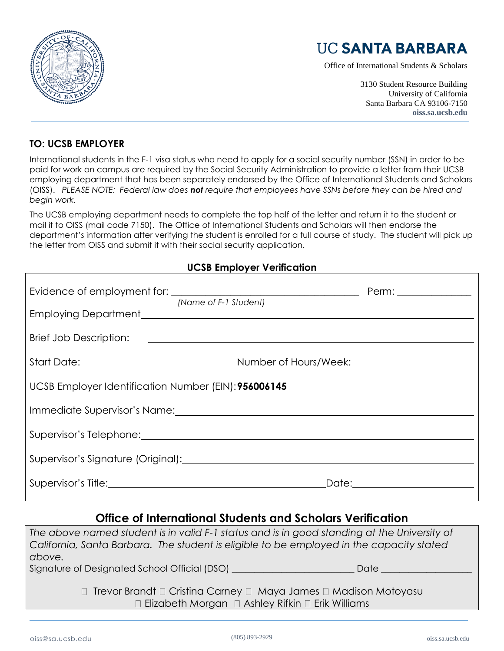

# **UC SANTA BARBARA**

Office of International Students & Scholars

3130 Student Resource Building University of California Santa Barbara CA 93106-7150 **oiss.sa.ucsb.edu**

#### **TO: UCSB EMPLOYER**

International students in the F-1 visa status who need to apply for a social security number (SSN) in order to be paid for work on campus are required by the Social Security Administration to provide a letter from their UCSB employing department that has been separately endorsed by the Office of International Students and Scholars (OISS). *PLEASE NOTE: Federal law does not require that employees have SSNs before they can be hired and begin work.*

The UCSB employing department needs to complete the top half of the letter and return it to the student or mail it to OISS (mail code 7150). The Office of International Students and Scholars will then endorse the department's information after verifying the student is enrolled for a full course of study. The student will pick up the letter from OISS and submit it with their social security application.

#### **UCSB Employer Verification**

|                                                      | (Name of F-1 Student)                                                                                                                                                                                                          | Perm: _______________  |
|------------------------------------------------------|--------------------------------------------------------------------------------------------------------------------------------------------------------------------------------------------------------------------------------|------------------------|
|                                                      |                                                                                                                                                                                                                                |                        |
|                                                      |                                                                                                                                                                                                                                |                        |
|                                                      |                                                                                                                                                                                                                                |                        |
| UCSB Employer Identification Number (EIN): 956006145 |                                                                                                                                                                                                                                |                        |
|                                                      | Immediate Supervisor's Name: \\cdot \\cdot \\cdot \\cdot \\cdot \\cdot \\cdot \\cdot \\cdot \\cdot \\cdot \\cdot \\cdot \\cdot \\cdot \\cdot \\cdot \\cdot \\cdot \\cdot \\cdot \\cdot \\cdot \\cdot \\cdot \\cdot \\cdot \\cd |                        |
|                                                      |                                                                                                                                                                                                                                |                        |
|                                                      |                                                                                                                                                                                                                                |                        |
|                                                      |                                                                                                                                                                                                                                | Date: ________________ |

### **Office of International Students and Scholars Verification**

*The above named student is in valid F-1 status and is in good standing at the University of California, Santa Barbara. The student is eligible to be employed in the capacity stated above.* Signature of Designated School Official (DSO) and a setting the state of Date  $\Box$  $\Box$  Trevor Brandt  $\Box$  Cristina Carney  $\Box$  Maya James  $\Box$  Madison Motoyasu  $\Box$  Elizabeth Morgan  $\Box$  Ashley Rifkin  $\Box$  Erik Williams